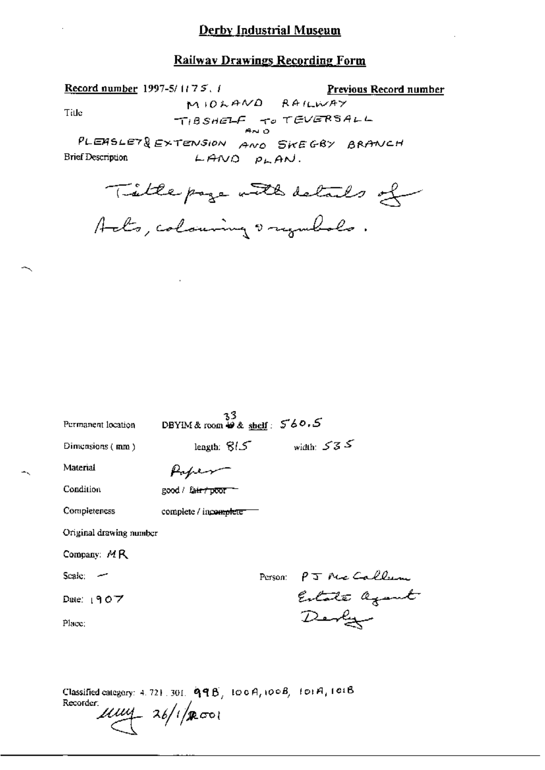#### **Railway Drawings Recording Form**

MIOLAND RAILWAY

Previous Record number

TIBSHELF TO TEVERSALL PLEASLET& EXTENSION AND SKEGBY BRANCH **Brief Description**  $LMNO$   $PLAN$ . Tillepage with details of  $3^3$ <br>DBYIM& room  $48 \text{ km/s}$ : 560.5 Permanent location length:  $815$  width:  $535$ Diniensions (mm) Material Paper Condition good / fair / poor --Completeness complete / incomplete

Original drawing number

Record number 1997-5/1175.1

Tide

Company: MR

Scale: -

Date:  $1907$ 

Place:

Person PJ Me Callum Estate agant<br>Derby

Classified category: 4, 721, 301,  $\mathbf{qqB}_{j}$ , 100 $\mathbf{q}_{i}$ 100 $\mathbf{q}_{j}$ , 101 $\mathbf{q}_{j}$ 101 $\mathbf{q}_{j}$ Recorder:  $\mu\mu$  26/1/2001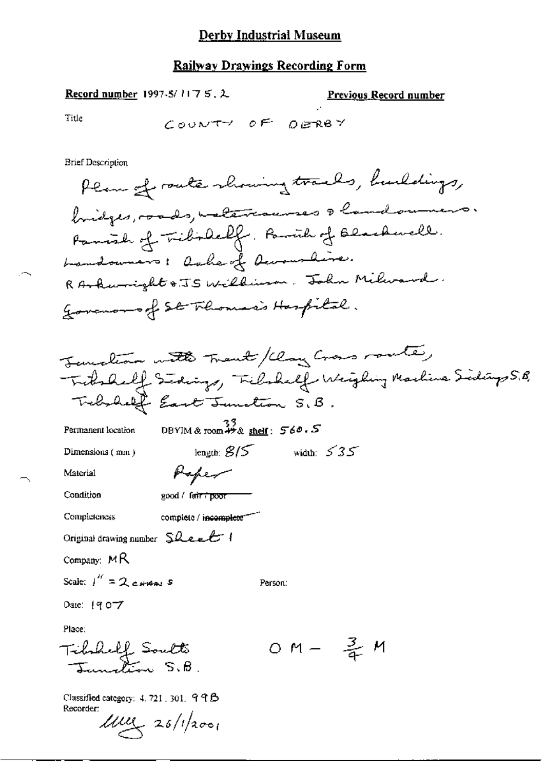Record number 1997-5/1175, 2

Previous Record number

Title

 $\sim$ 

COUNTY OF DERBY

**Brief Description** 

Permanent location

DBYIM & room  $**$  & shelf:  $560.5$ 

length;  $8/5$  width:  $535$ 

Person:

Dimensions (mm)

Material

Condition

complete / incomplete

good / fair / poor

Paper

Original drawing number Sheet

Company: MR

Completeness

Scale:  $1'' = 2$  cHAM S

Date: 1907

Place:

OM -  $\frac{3}{4}$  M Tibshelf Soutto

Classified category: 4, 721, 301, 99B Recorder:

 $11111 - 26/12001$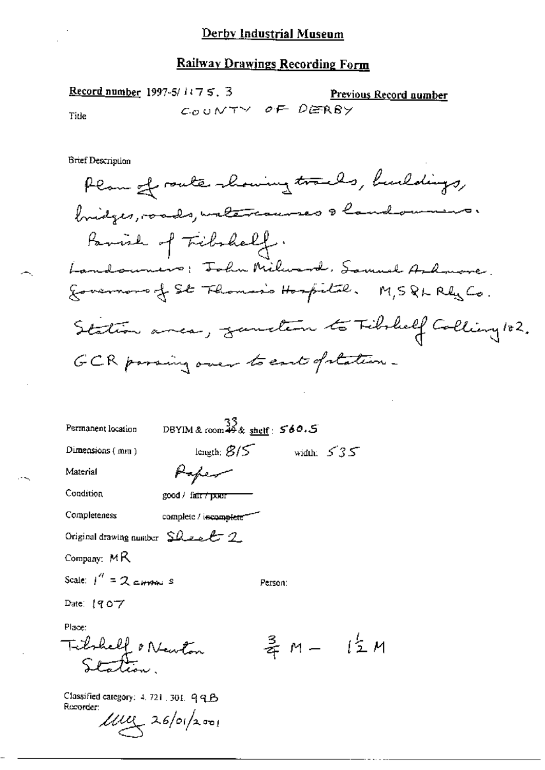Record number 1997-5/ $1175.3$ Previous Record number COUNTY OF DERBY Tide

**Brief Description** 

 $\sim$ 

| Permanent location                              | DBYIM & room $\stackrel{33}{49}$ & shelf: $\stackrel{560.5}{560.5}$ |         |              |
|-------------------------------------------------|---------------------------------------------------------------------|---------|--------------|
| Dimensions $(mn)$                               | length: $8/5$                                                       |         | width: $535$ |
| Material                                        |                                                                     |         |              |
| Condition                                       | good / fa <del>ir / pour</del>                                      |         |              |
| Completeness                                    | complete / incomplete                                               |         |              |
| Original drawing number $SL = 2$ .              |                                                                     |         |              |
| Company: $MR$                                   |                                                                     |         |              |
| Scale: $1'' = 2$ cannot s                       |                                                                     | Person: |              |
| Date: 1907                                      |                                                                     |         |              |
| Place:                                          |                                                                     |         |              |
| Tichell o Newton                                |                                                                     |         | 弄 M - 【 I M  |
| $C$ lossified carego $\sim$ 1. To 1. The $\sim$ |                                                                     |         |              |

Classified category: 4, 721 , 301, 99B Recorder:  $\mu$ uz 26/01/2001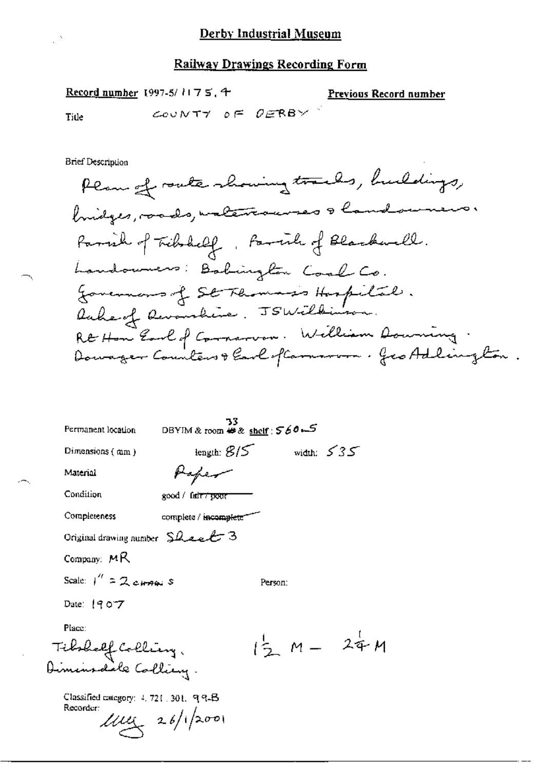Record number 1997-5/ $1175$ , 4

**Previous Record number** 

 $\ensuremath{\mathcal{M}}\xspace$ 

 $\ddot{\phantom{0}}$ 

Title

COUNTY OF  $OERBY$ 

Brief Description

 $\frac{1}{2}$   $\lambda$ 

| Permanent location                                  | 33<br>DBYIM & room # & shelf : 560 ~ 5 |                   |              |
|-----------------------------------------------------|----------------------------------------|-------------------|--------------|
| Dimensions (mm)                                     | length: $\mathcal{B}/\mathcal{S}$      |                   | width: $535$ |
| Material                                            |                                        |                   |              |
| Condition                                           | good / fair 7 pour                     |                   |              |
| Completeness                                        | complete / incomplete"                 |                   |              |
| Original drawing number $\text{S}}$ leel 3          |                                        |                   |              |
| Company: $MR$                                       |                                        |                   |              |
| Scale: $1'' = 2$ changes                            |                                        | Person:           |              |
| Date: 1907                                          |                                        |                   |              |
| Place:                                              |                                        |                   |              |
|                                                     |                                        | $\sqrt{2}$ M - 24 |              |
| Fibololf Colling.<br>Diminodole Colling.            |                                        |                   |              |
| Classified category: 4, 721, 301, 994B<br>Recorder: | $100 \times 26/12001$                  |                   |              |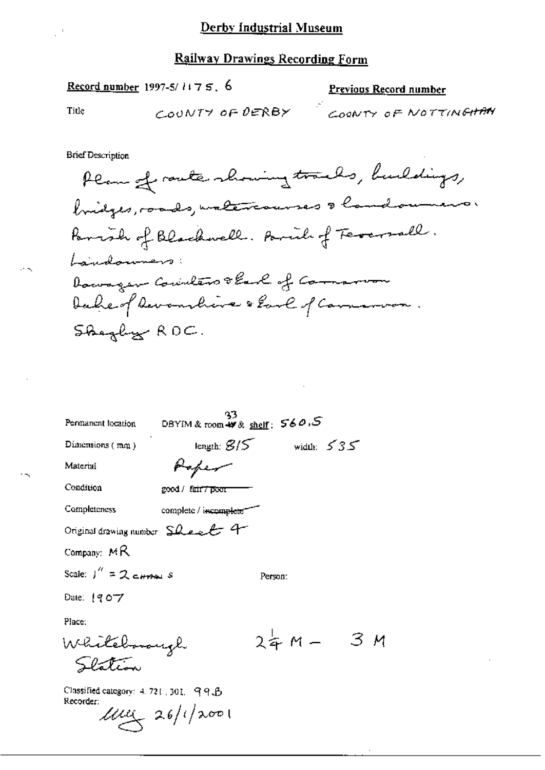ý.

# Record number 1997-5/1175, 6

### Previous Record number

Title

 $\mathbb{R}^3$ 

 $\ddot{\cdot}$ 

**Brief Description** 

| Permanent location                                  |                                | DBYIM & room $\mathscr{W}$ & shelf: $560.5$ |              |            |  |
|-----------------------------------------------------|--------------------------------|---------------------------------------------|--------------|------------|--|
| Dimensions $(mn)$                                   |                                | length: $\mathcal{B}$ / $\mathcal{S}$       | width: $535$ |            |  |
| Material                                            |                                |                                             |              |            |  |
| Condition                                           | good / fair <del>7 p</del> eor |                                             |              |            |  |
| <b>Completeness</b>                                 | complete / incomplete"         |                                             |              |            |  |
| Original drawing number Sheet 4                     |                                |                                             |              |            |  |
| Company: $MR$                                       |                                |                                             |              |            |  |
| Scale: $\int_{0}^{\pi} = 2$ c <sub>trab</sub> s     |                                | Person:                                     |              |            |  |
| Date: 1907                                          |                                |                                             |              |            |  |
| Place:                                              |                                |                                             |              |            |  |
| Whitebook                                           |                                |                                             |              | $24M - 3M$ |  |
|                                                     |                                |                                             |              |            |  |
| Classified category: 4, 721, 301, 99.8<br>Recorder: | $\mu$ uz 26/1/2001             |                                             |              |            |  |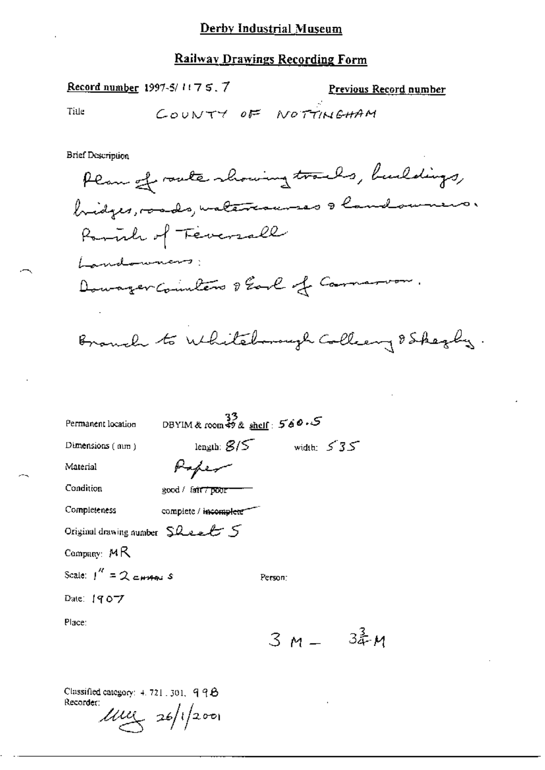#### **Railway Drawings Recording Form**

Record number 1997-5/1175.7

Previous Record number

Title

COUNTY OF NOTTINGHAM

**Brief Description** 

Plan of route showing tracks, buildings, bridges, roads, materiannes & landoumers. Rominh of Teversall Landonnano: Downger Counters & Earl of Commancon.

Branch to Whiteborough Colleany & Shezly.

| Permanent location               | DBYIM & room \$9 & shelf: $560.5$ |              |
|----------------------------------|-----------------------------------|--------------|
| Dimensions $(mn)$                | length: $\mathcal{B}/\mathcal{S}$ | width: $535$ |
| Material                         |                                   |              |
| Condition                        | good / fair <del>7 poor</del>     |              |
| Completeness                     | complete / incomplete             |              |
| Original drawing number $SLexL5$ |                                   |              |
| Company: $M R$                   |                                   |              |
| Scale: $1'' = 2$ current S       |                                   | Person:      |
| Date: 1907                       |                                   |              |
| Place:                           |                                   |              |

 $3 M - 34 M$ 

Classified category:  $4.721$ , 301, 998 Recorder:

 $100 \times 26/1200$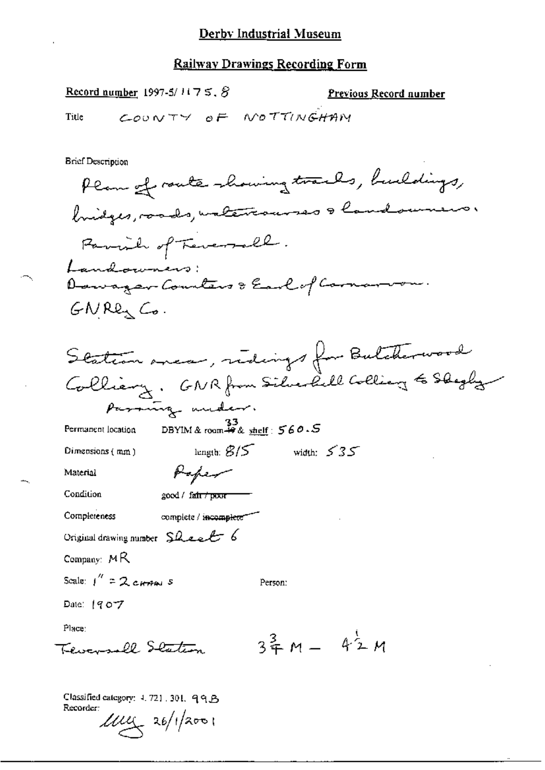Previous Record number

Record number 1997-5/ $1175.8$ 

COUNTY OF NOTTINGHAM Title **Brief Description** Plan of route showing tracks, buildings, bridges, roads, unterrouves a landsumers. Parish of Teverall. Landowners: Dawager Counters & Earl of Cornar  $GNRE<sub>1</sub>$   $Co.$ Station anear, redings for Butcherwood Colliany, GNR from Silverlill Collian & Shegly paraming under. DBYIM & room  $\stackrel{33}{\leftrightarrow}$  shelf:  $\stackrel{56}{\sim} 60.5$ Permanent location length:  $\mathcal{B}/\mathcal{S}$ width:  $535$ Dimensions (mm) Poper Material Condition good / fair / poor Completeness complete / incomplete Original drawing number  $SLecL$  6 Company:  $MR$ Scale:  $1'' = 2$  current s Person: Date: 1907 Place:  $3\frac{2}{7}M - 42M$ Tevansell Staten

Classified category: 4, 721, 301, 99.B Recorder:  $100 \times 26/12001$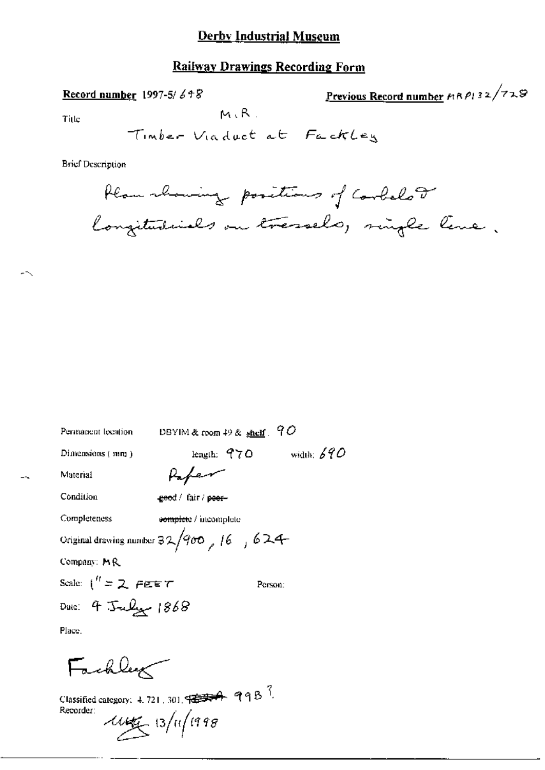### **Railway Drawings Recording Form**

Record number 1997-5/648

Previous Record number  $P(32/729)$ 

Title

 $M, R$ .

**Brief Description** 

Plan showing positions of Corbelor longitudinals on tressels, single line.

| Permanent location    | DBYIM & room $49$ & $\frac{1}{2}$ shelf $\frac{1}{2}$ $\mathcal{O}$                                                                                                             |
|-----------------------|---------------------------------------------------------------------------------------------------------------------------------------------------------------------------------|
| Dimensions (mm)       | width: $690$<br>length: $970$                                                                                                                                                   |
| Material              | Paper                                                                                                                                                                           |
| Condition             | geed / fair / peer-                                                                                                                                                             |
| Completeness          | complete / incomplete                                                                                                                                                           |
|                       | Original drawing number $32/900$ , 16, 624                                                                                                                                      |
| Company: MR           |                                                                                                                                                                                 |
| Scale: $1'' = 2$ FEET | Person:                                                                                                                                                                         |
| Date: 4 July 1868     |                                                                                                                                                                                 |
| Place.                |                                                                                                                                                                                 |
| Fackley               | Classified category: 4, 721, 301, $\frac{1}{2}$ , $\frac{1}{2}$ , $\frac{1}{2}$ , $\frac{1}{2}$ , $\frac{1}{2}$ , $\frac{1}{2}$ , $\frac{1}{2}$ , $\frac{1}{2}$ , $\frac{1}{2}$ |
| Recorder:             | and the state of the state of the state of the state of the state of the state of the state of the state of the                                                                 |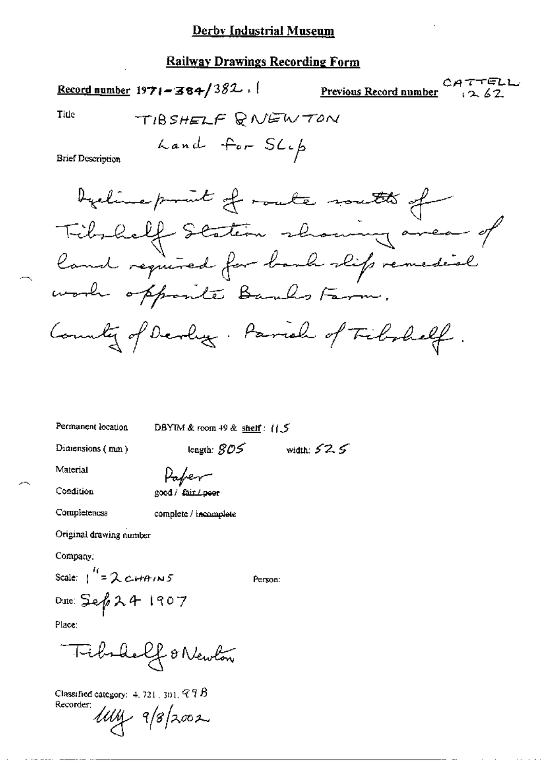### **Railway Drawings Recording Form**

Title

 $\sim$ 

**Brief Description** 

Permanent location

DBYIM & room 49 & shelf:  $1/5$ 

length:  $\mathcal{GOS}$ 

Dimensions (mm)

width:  $52.5$ 

Person:

Material

Condition

Paper good / fair / peer

Completeness

complete / incomplete

Original drawing number

Company:

Scale:  $\int_0^{t_1} = 2c \mu t \theta / N5$ 

Date: Sep24 1907

Place:

Classified category:  $4.721$ ,  $301$ ,  $97B$ Recorder;  $luvy$   $9/8/2002$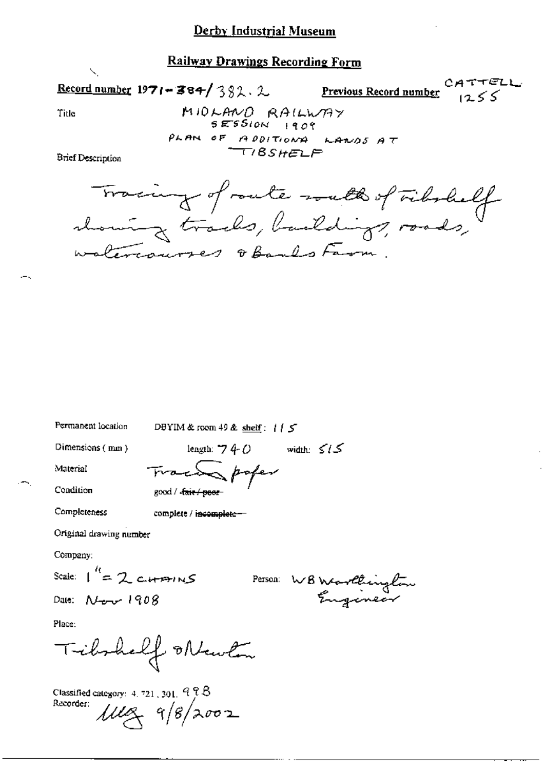#### **Railway Drawings Recording Form**

CATTELL Record number 1971-384/382.2 Previous Record number  $1255$ MIDLAND RAILWAY Title  $SESSION$  1909 PLAN OF ADDITIONAL LANDS AT

**Brief Description** 

Tracing of route with of vibrall waltercourses obands Farm.

Permanent location

DBYIM & room 49 & shelf:  $115$ 

Dimensions (mm)

length:  $740$  width:  $515$ Traces poper good / cair / poor

Condition Completeness

Material

complete / incomplete-

Original drawing number

Company:

Scale:  $1^{\prime\prime}$  = 2 currences

Date:  $N_{\text{max}}$  1908

Person WB Warthington

Place:

Tibshelf Mewton

Classified category:  $4.721,301,928$ Recorder:  $1110 - 98/2002$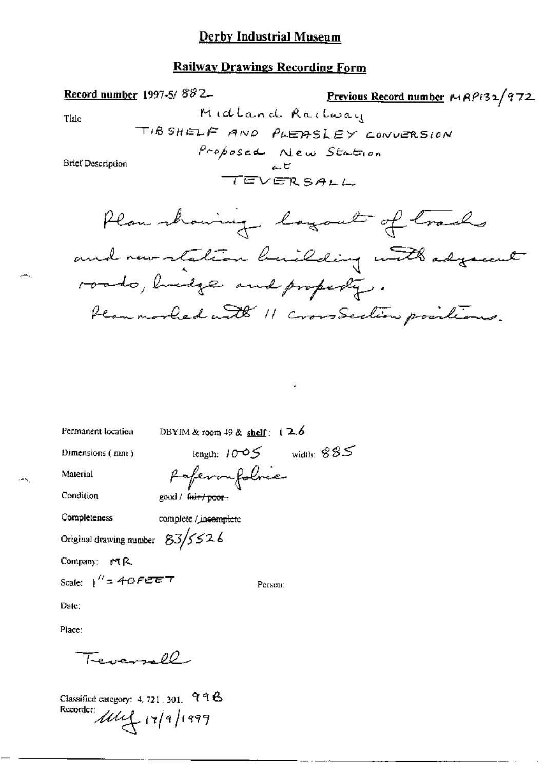#### **Railway Drawings Recording Form**



Permanent location

DBYIM & room 49 & shelf:  $12.6$ 

Dimensions (mm)

length:  $10-05$  width:  $885$ 

Material Condition

Completeness

Rafevou folrec good / fair / poor-

complete / incomplete

Original drawing number  $83/5226$ 

Company: MR

Scale:  $1'' = 40$ FEET

Person:

Date:

Place:

 $\overline{1}$  the second  $\overline{\rho}$ 

Classified category: 4, 721, 301, 998 Recorder: 11/9/1999